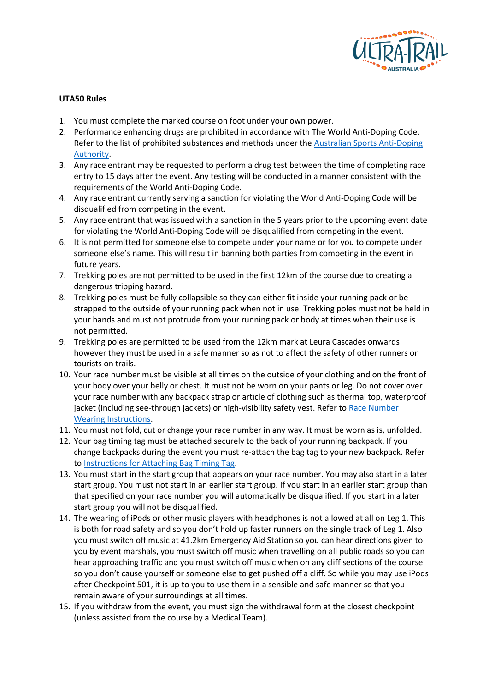

## **UTA50 Rules**

- 1. You must complete the marked course on foot under your own power.
- 2. Performance enhancing drugs are prohibited in accordance with The World Anti-Doping Code. Refer to the list of prohibited substances and methods under the [Australian Sports Anti-Doping](https://www.asada.gov.au/substances/prohibited-substances-and-methods)  [Authority.](https://www.asada.gov.au/substances/prohibited-substances-and-methods)
- 3. Any race entrant may be requested to perform a drug test between the time of completing race entry to 15 days after the event. Any testing will be conducted in a manner consistent with the requirements of the World Anti-Doping Code.
- 4. Any race entrant currently serving a sanction for violating the World Anti-Doping Code will be disqualified from competing in the event.
- 5. Any race entrant that was issued with a sanction in the 5 years prior to the upcoming event date for violating the World Anti-Doping Code will be disqualified from competing in the event.
- 6. It is not permitted for someone else to compete under your name or for you to compete under someone else's name. This will result in banning both parties from competing in the event in future years.
- 7. Trekking poles are not permitted to be used in the first 12km of the course due to creating a dangerous tripping hazard.
- 8. Trekking poles must be fully collapsible so they can either fit inside your running pack or be strapped to the outside of your running pack when not in use. Trekking poles must not be held in your hands and must not protrude from your running pack or body at times when their use is not permitted.
- 9. Trekking poles are permitted to be used from the 12km mark at Leura Cascades onwards however they must be used in a safe manner so as not to affect the safety of other runners or tourists on trails.
- 10. Your race number must be visible at all times on the outside of your clothing and on the front of your body over your belly or chest. It must not be worn on your pants or leg. Do not cover over your race number with any backpack strap or article of clothing such as thermal top, waterproof jacket (including see-through jackets) or high-visibility safety vest. Refer t[o Race Number](/assets/Uploads/AthleteServicesPDF/race-number-wearing-instructions.jpg)  [Wearing Instructions.](/assets/Uploads/AthleteServicesPDF/race-number-wearing-instructions.jpg)
- 11. You must not fold, cut or change your race number in any way. It must be worn as is, unfolded.
- 12. Your bag timing tag must be attached securely to the back of your running backpack. If you change backpacks during the event you must re-attach the bag tag to your new backpack. Refer to [Instructions for Attaching Bag Timing Tag.](/assets/Uploads/AthleteServicesPDF/Instructions-for-attaching-bag-timing-tag.jpg)
- 13. You must start in the start group that appears on your race number. You may also start in a later start group. You must not start in an earlier start group. If you start in an earlier start group than that specified on your race number you will automatically be disqualified. If you start in a later start group you will not be disqualified.
- 14. The wearing of iPods or other music players with headphones is not allowed at all on Leg 1. This is both for road safety and so you don't hold up faster runners on the single track of Leg 1. Also you must switch off music at 41.2km Emergency Aid Station so you can hear directions given to you by event marshals, you must switch off music when travelling on all public roads so you can hear approaching traffic and you must switch off music when on any cliff sections of the course so you don't cause yourself or someone else to get pushed off a cliff. So while you may use iPods after Checkpoint 501, it is up to you to use them in a sensible and safe manner so that you remain aware of your surroundings at all times.
- 15. If you withdraw from the event, you must sign the withdrawal form at the closest checkpoint (unless assisted from the course by a Medical Team).